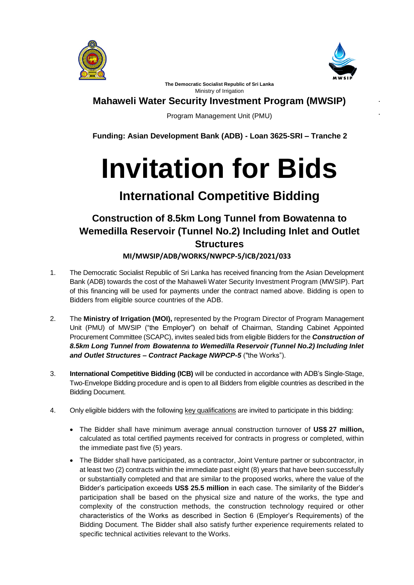



**The Democratic Socialist Republic of Sri Lanka** Ministry of Irrigation

## **Mahaweli Water Security Investment Program (MWSIP)**

Program Management Unit (PMU)

**Funding: Asian Development Bank (ADB) - Loan 3625-SRI – Tranche 2**

## **Invitation for Bids**

## **International Competitive Bidding**

## **Construction of 8.5km Long Tunnel from Bowatenna to Wemedilla Reservoir (Tunnel No.2) Including Inlet and Outlet Structures MI/MWSIP/ADB/WORKS/NWPCP-5/ICB/2021/033**

- 1. The Democratic Socialist Republic of Sri Lanka has received financing from the Asian Development Bank (ADB) towards the cost of the Mahaweli Water Security Investment Program (MWSIP). Part of this financing will be used for payments under the contract named above. Bidding is open to Bidders from eligible source countries of the ADB.
- 2. The **Ministry of Irrigation (MOI),** represented by the Program Director of Program Management Unit (PMU) of MWSIP ("the Employer") on behalf of Chairman, Standing Cabinet Appointed Procurement Committee (SCAPC), invites sealed bids from eligible Bidders for the *Construction of 8.5km Long Tunnel from Bowatenna to Wemedilla Reservoir (Tunnel No.2) Including Inlet and Outlet Structures – Contract Package NWPCP-5* ("the Works").
- 3. **International Competitive Bidding (ICB)** will be conducted in accordance with ADB's Single-Stage, Two-Envelope Bidding procedure and is open to all Bidders from eligible countries as described in the Bidding Document.
- 4. Only eligible bidders with the following key qualifications are invited to participate in this bidding:
	- The Bidder shall have minimum average annual construction turnover of **US\$ 27 million,** calculated as total certified payments received for contracts in progress or completed, within the immediate past five (5) years.
	- The Bidder shall have participated, as a contractor, Joint Venture partner or subcontractor, in at least two (2) contracts within the immediate past eight (8) years that have been successfully or substantially completed and that are similar to the proposed works, where the value of the Bidder's participation exceeds **US\$ 25.5 million** in each case. The similarity of the Bidder's participation shall be based on the physical size and nature of the works, the type and complexity of the construction methods, the construction technology required or other characteristics of the Works as described in Section 6 (Employer's Requirements) of the Bidding Document. The Bidder shall also satisfy further experience requirements related to specific technical activities relevant to the Works.